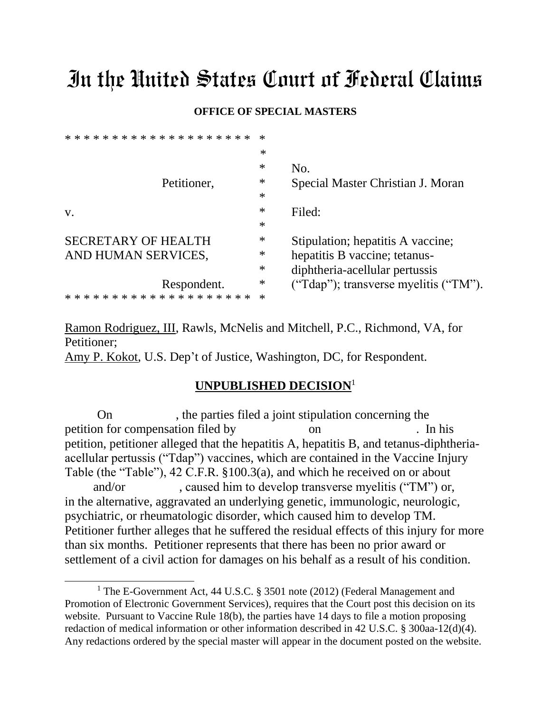# In the United States Court of Federal Claims

#### **OFFICE OF SPECIAL MASTERS**

| $\ast$ |                                       |
|--------|---------------------------------------|
| $\ast$ | No.                                   |
| $\ast$ | Special Master Christian J. Moran     |
| $\ast$ |                                       |
| $\ast$ | Filed:                                |
| $\ast$ |                                       |
| ∗      | Stipulation; hepatitis A vaccine;     |
| $\ast$ | hepatitis B vaccine; tetanus-         |
| $\ast$ | diphtheria-acellular pertussis        |
| $\ast$ | ("Tdap"); transverse myelitis ("TM"). |
| $\ast$ |                                       |
|        |                                       |

Ramon Rodriguez, III, Rawls, McNelis and Mitchell, P.C., Richmond, VA, for Petitioner;

Amy P. Kokot, U.S. Dep't of Justice, Washington, DC, for Respondent.

### **UNPUBLISHED DECISION**<sup>1</sup>

On , the parties filed a joint stipulation concerning the petition for compensation filed by on . In his petition, petitioner alleged that the hepatitis A, hepatitis B, and tetanus-diphtheriaacellular pertussis ("Tdap") vaccines, which are contained in the Vaccine Injury Table (the "Table"), 42 C.F.R. §100.3(a), and which he received on or about and/or caused him to develop transverse myelitis ("TM") or, in the alternative, aggravated an underlying genetic, immunologic, neurologic, psychiatric, or rheumatologic disorder, which caused him to develop TM. Petitioner further alleges that he suffered the residual effects of this injury for more than six months. Petitioner represents that there has been no prior award or

settlement of a civil action for damages on his behalf as a result of his condition.

 $\overline{a}$ 

<sup>&</sup>lt;sup>1</sup> The E-Government Act, 44 U.S.C. § 3501 note (2012) (Federal Management and Promotion of Electronic Government Services), requires that the Court post this decision on its website. Pursuant to Vaccine Rule 18(b), the parties have 14 days to file a motion proposing redaction of medical information or other information described in 42 U.S.C. § 300aa-12(d)(4). Any redactions ordered by the special master will appear in the document posted on the website.